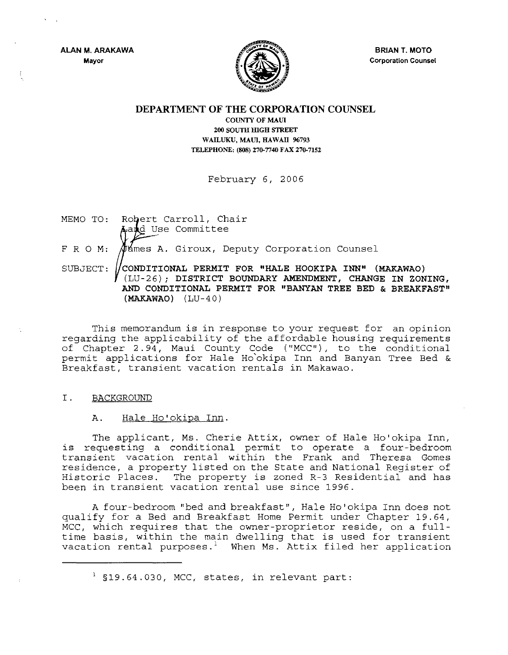**ALAN M. ARAKAWA Mayor** 



**BRIAN T. MOTO Corporation Counsel** 

# **DEPARTMENT OF THE CORPORATION COUNSEL**

**COUNTY OF MAUl 200 SOUTH IDGH STREET**  WAILUKU, MAUI, HAWAII 96793 TELEPHONE; (808) 270-7740 FAX 270-7152

February 6, 2006

MEMO TO: Robert Carroll, Chair  $\Delta$ a $\not\parallel$ d Use Committee

FRO **M:**   $\varphi$  ames A. Giroux, Deputy Corporation Counsel

SUBJECT: **CONDITIONAL PERMIT FOR "HALE HOOKIPA INN" (MAKAWAO)**  (LU-26); **DISTRICT BOUNDARY AMENDMENT, CHANGE IN ZONING, AND CONDITIONAL PERMIT FOR "BANYAN TREE BED & BREAKFAST" (MAKAWAO)** (LU-40)

This memorandum is in response to your request for an opinion regarding the applicability of the affordable housing requirements of Chapter 2.94, Maui County Code ("MCC"), to the conditional permit applications for Hale Ho'okipa Inn and Banyan Tree Bed & Breakfast, transient vacation rentals in Makawao.

## I. BACKGROUND

## **A.** Hale Ho'okipa Inn.

The applicant, Ms. Cherie Attix, owner of Hale Ho'okipa Inn, is requesting a conditional permit to operate a four-bedroom transient vacation rental within the Frank and Theresa Gomes residence, a property listed on the State and National Register of Historic Places. The property is zoned R-3 Residential and has been in transient vacation rental use since 1996.

A four-bedroom "bed and breakfast", Hale Ho' okipa Inn does not qualify for a Bed and Breakfast Home Permit under Chapter 19.64, MCC, which requires that the owner-proprietor reside, on a fulltime basis, within the main dwelling that is used for transient vacation rental purposes.<sup>1</sup> When Ms. Attix filed her application

 $<sup>1</sup>$  §19.64.030, MCC, states, in relevant part:</sup>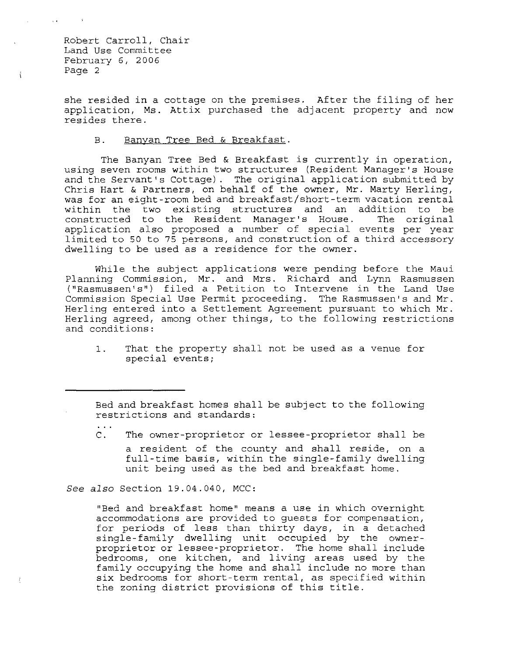$\mathfrak{t}$ 

she resided in a cottage on the premises. After the filing of her application, Ms. Attix purchased the adjacent property and now resides there.

### B. Banyan Tree Bed & Breakfast.

The Banyan Tree Bed & Breakfast is currently in operation, using seven rooms within two structures (Resident Manager's House and the Servant's Cottage). The original application submitted by Chris Hart & Partners, on behalf of the owner, Mr. Marty Herling, was for an eight-room bed and breakfast/short-term vacation rental within the two existing structures and an addition to be constructed to the Resident Manager's House. The original constructed to the Resident Manager's House. application also proposed a number of special events per year limited to 50 to 75 persons, and construction of a third accessory dwelling to be used as a residence for the owner.

While the subject applications were pending before the Maui Planning Commission, Mr. and Mrs. Richard and Lynn Rasmussen ("Rasmussen's") filed a Petition to Intervene in the Land Use Commission Special Use Permit proceeding. The Rasmussen's and Mr. Herling entered into a Settlement Agreement pursuant to which Mr. Herling agreed, among other things, to the following restrictions and conditions:

1. That the property shall not be used as a venue for special events;

*See also* Section 19.04.040, MCC:

"Bed and breakfast home" means a use in which overnight accommodations are provided to guests for compensation, for periods of less than thirty days, in a detached single-family dwelling unit occupied by the ownerproprietor or lessee-proprietor. The home shall include bedrooms, one kitchen, and living areas used by the family occupying the home and shall include no more than six bedrooms for short-term rental, as specified within the zoning district provisions of this title.

Bed and breakfast homes shall be subject to the following restrictions and standards:

C. The owner-proprietor or lessee-proprietor shall be a resident of the county and shall reside, on a full-time basis, within the single-family dwelling unit being used as the bed and breakfast home.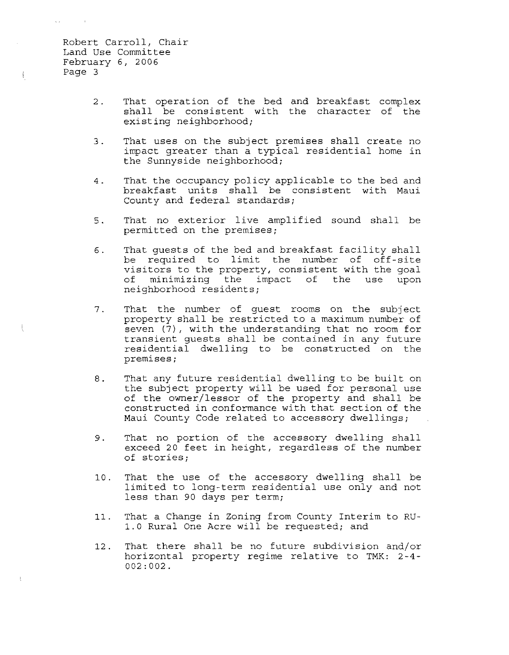$\mathbf{v}(\mathbf{z}) = \mathbf{v}(\mathbf{z})$  . It is

 $\hat{\xi}$ 

 $\mathbf{I}$ 

- 2. That operation of the bed and breakfast complex shall be consistent with the character of the existing neighborhood;
- 3. That uses on the subject premises shall create no impact greater than a typical residential home in the Sunnyside neighborhood;
- 4. That the occupancy policy applicable to the bed and breakfast units shall be consistent with Maui County and federal standards;
- 5. That no exterior live amplified sound shall be permitted on the premises;
- 6. That guests of the bed and breakfast facility shall be required to limit the number of off-site visitors to the property, consistent with the goal of minimizing the impact of the use upon neighborhood residents;
- 7. That the number of guest rooms on the subject property shall be restricted to a maximum number of seven (7), with the understanding that no room for transient guests shall be contained in any future residential dwelling to be constructed on the premises;
- 8. That any future residential dwelling to be built on the subject property will be used for personal use of the owner/lessor of the property and shall be constructed in conformance with that section of the Maui County Code related to accessory dwellings;
- 9. That no portion of the accessory dwelling shall exceed 20 feet in height, regardless of the number of stories;
- 10. That the use of the accessory dwelling shall be limited to long-term residential use only and not less than 90 days per term;
- 11. That a Change in Zoning from County Interim to RU-1.0 Rural One Acre will be requested; and
- 12. That there shall be no future subdivision and/or horizontal property regime relative to TMK: 2-4- 002:002.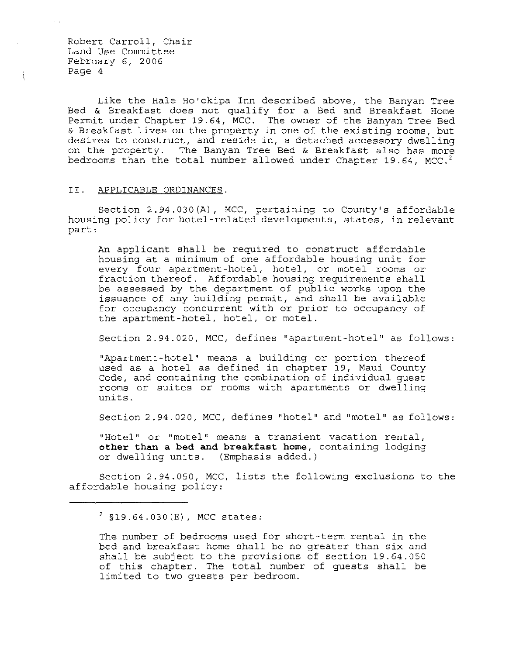ţ.

Like the Hale Ho'okipa Inn described above, the Banyan Tree Bed & Breakfast does not qualify for a Bed and Breakfast Home Permit under Chapter 19.64, MCC. The owner of the Banyan Tree Bed & Breakfast lives on the property in one of the existing rooms, but desires to construct, and reside in, a detached accessory dwelling on the property. The Banyan Tree Bed & Breakfast also has more bedrooms than the total number allowed under Chapter 19.64, MCC.<sup>2</sup>

#### II. APPLICABLE ORDINANCES.

Section 2.94.030(A), MCC, pertaining to County's affordable housing policy for hotel-related developments, states, in relevant part:

An applicant shall be required to construct affordable housing at a minimum of one affordable housing unit for every four apartment -hotel, hotel, or motel rooms or fraction thereof. Affordable housing requirements shall be assessed by the department of public works upon the issuance of any building permit, and shall be available for occupancy concurrent with or prior to occupancy of the apartment-hotel, hotel, or motel.

Section 2.94.020, MCC, defines "apartment-hotel" as follows:

"Apartment-hotel" means a building or portion thereof used as a hotel as defined in chapter 19, Maui County Code, and containing the combination of individual guest rooms or suites or rooms with apartments or dwelling units.

Section 2.94.020, MCC, defines "hotel" and "motel" as follows:

"Hotel" or "motel" means a transient vacation rental, **other than a bed and breakfast home,** containing lodging or dwelling units. (Emphasis added.)

Section 2.94.050, MCC, lists the following exclusions to the affordable housing policy:

 $2$  §19.64.030(E), MCC states:

The number of bedrooms used for short-term rental in the bed and breakfast home shall be no greater than six and shall be subject to the provisions of section 19.64.050 of this chapter. The total number of guests shall be limited to two guests per bedroom.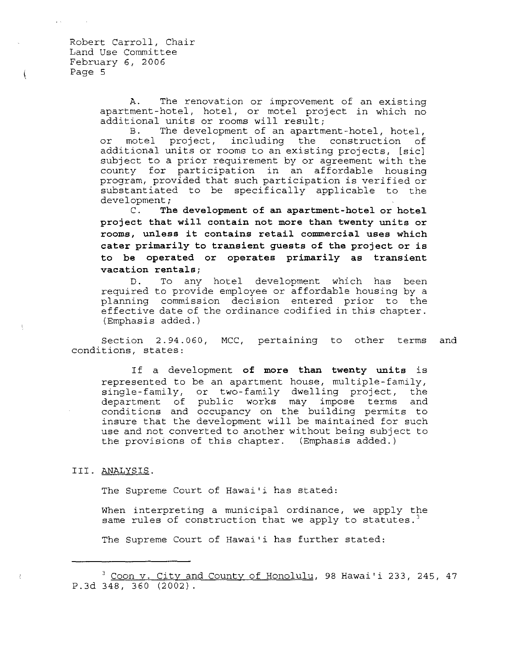$\mathfrak{t}% _{1}\left( t_{1}\right) =\mathfrak{t}_{1}\left( t_{1}\right) ,$ 

A. The renovation or improvement of an existing apartment-hotel, hotel, or motel project in which no additional units or rooms will result;

B. The development of an apartment-hotel, hotel, or motel project, including the construction of additional units or rooms to an existing projects, [sic] subject to a prior requirement by or agreement with the county for participation in an affordable housing program, provided that such participation is verified or substantiated to be specifically applicable to the development;

C. **The development of an apartment-hotel or hotel project that will contain not more than twenty units or rooms, unless it contains retail commercial uses which cater primarily to transient guests of the project or is to be operated or operates primarily as transient vacation rentals;** 

D. required to provide employee or affordable housing by a planning commission decision entered prior to the effective date of the ordinance codified in this chapter. (Emphasis added. ) To any hotel development which has been

Section 2.94.060, MCC, pertaining to other terms and conditions, states:

If a development **of more than twenty units** is represented to be an apartment house, multiple-family, single-family, or two-family dwelling project, the department of public works may impose terms and conditions and occupancy on the building permits to insure that the development will be maintained for such use and not converted to another without being subject to the provisions of this chapter. (Emphasis added.)

#### III. ANALYSIS.

The Supreme Court of Hawai'i has stated:

When interpreting a municipal ordinance, we apply the same rules of construction that we apply to statutes.<sup>3</sup>

The Supreme Court of Hawai'i has further stated:

<sup>&</sup>lt;sup>3</sup> Coon v. City and County of Honolulu, 98 Hawai'i 233, 245, 47 P.3d 348,360 (2002).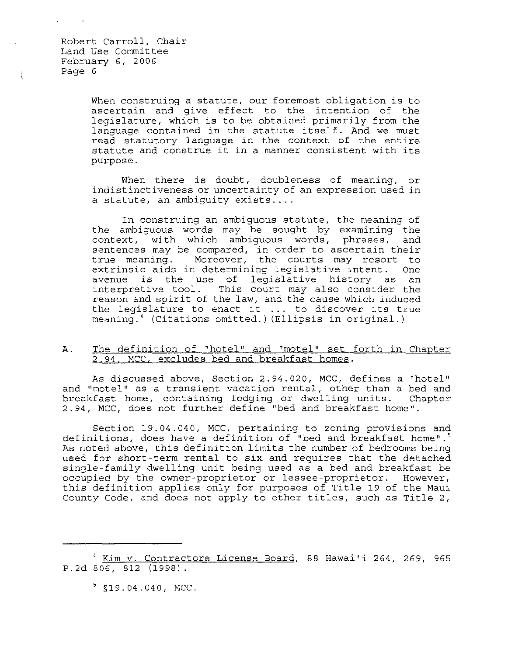ţ

When construing a statute, our foremost obligation is to ascertain and give effect to the intention of the legislature, which is to be obtained primarily from the language contained in the statute itself. And we must read statutory language in the context of the entire statute and construe it in a manner consistent with its purpose.

When there is doubt, doubleness of meaning, or indistinctiveness or uncertainty of an expression used in a statute, an ambiguity exists....

In construing an ambiguous statute, the meaning of the ambiguous words may be sought by examining the context, with which ambiguous words, phrases, and sentences may be compared, in order to ascertain their true meaning. Moreover, the courts may resort to<br>extrinsic aids in determining legislative intent. One extrinsic aids in determining legislative intent. exerinsic aids in decermining regrorative incent. One<br>avenue is the use of legislative history as an interpretive tool. This court may also consider the reason and spirit of the law, and the cause which induced the legislature to enact it  $\dots$  to discover its true meaning.' (Citations omitted.) (Ellipsis in original.)

# A. The definition of "hotel" and "motel" set forth in Chapter 2.94, MCC, excludes bed and breakfast homes.

As discussed above, Section 2.94.020, MCC, defines a "hotel" and "motel" as a transient vacation rental, other than a bed and breakfast home, containing lodging or dwelling units. Chapter 2.94, MCC, does not further define "bed and breakfast home".

Section 19.04.040, MCC, pertaining to zoning provisions and definitions, does have a definition of "bed and breakfast home".<sup>5</sup> As noted above, this definition limits the number of bedrooms being used for short-term rental to six and requires that the detached single-family dwelling unit being used as a bed and breakfast be occupied by the owner-proprietor or lessee-proprietor. However, this definition applies only for purposes of Title 19 of the Maui County Code, and does not apply to other titles, such as Title 2,

<sup>&</sup>lt;sup>4</sup> Kim v. Contractors License Board, 88 Hawai'i 264, 269, 965 P.2d 806, 812 (1998).

 $5$  §19.04.040, MCC.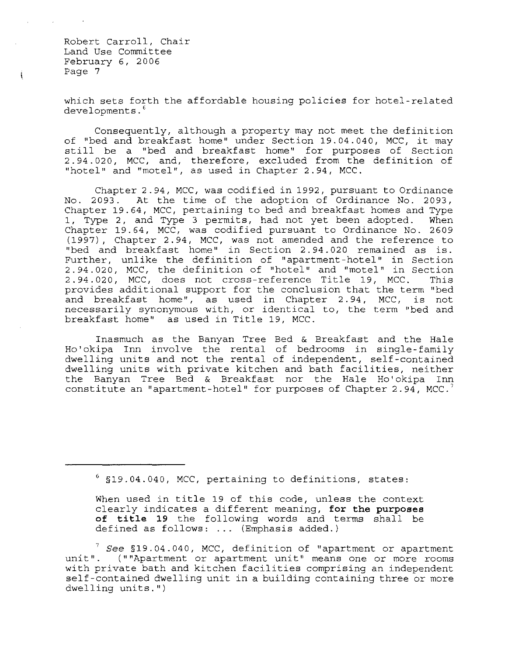ţ

which sets forth the affordable housing policies for hotel-related developments.<sup>6</sup>

Consequently, although a property may not meet the definition of "bed and breakfast home" under Section 19.04.040, MCC, it may still be a "bed and breakfast home" for purposes of Section 2.94.020, MCC, and, therefore, excluded from the definition of "hotel" and "motel", as used in Chapter 2.94, MCC.

Chapter 2.94, MCC, was codified in 1992, pursuant to Ordinance No. 2093. At the time of the adoption of Ordinance No. 2093, Chapter 19.64, MCC, pertaining to bed and breakfast homes and Type 1, Type 2, and Type 3 permits, had not yet been adopted. When Chapter 19.64, MCC, was codified pursuant to Ordinance No. 2609 (1997), Chapter 2.94, MCC, was not amended and the reference to "bed and breakfast home" in Section 2.94.020 remained as is. Further, unlike the definition of "apartment-hotel" in Section 2.94.020, MCC, the definition of "hotel" and "motel" in Section 2.94.020, MCC, does not cross-reference Title 19, MCC. This provides additional support for the conclusion that the term "bed and breakfast home", as used in Chapter 2.94, MCC, is not necessarily synonymous with, or identical to, the term "bed and breakfast home" as used in Title 19, MCC.

Inasmuch as the Banyan Tree Bed & Breakfast and the Hale Ho'okipa Inn involve the rental of bedrooms in single-family dwelling units and not the rental of independent, self-contained dwelling units with private kitchen and bath facilities, neither the Banyan Tree Bed & Breakfast nor the Hale Ho'okipa Inn constitute an "apartment-hotel" for purposes of Chapter 2.94, MCC.

<sup>6 §19.04.040,</sup> MCC, pertaining to definitions, states:

When used in title 19 of this code, unless the context clearly indicates a different meaning, **for the purposes of title 19** the following words and terms shall be defined as follows: ... (Emphasis added.)

<sup>7</sup>*See* §19.04.040, MCC, definition of "apartment or apartment unit". (""Apartment or apartment unit" means one or more rooms with private bath and kitchen facilities comprising an independent self-contained dwelling unit in a building containing three or more dwelling units.")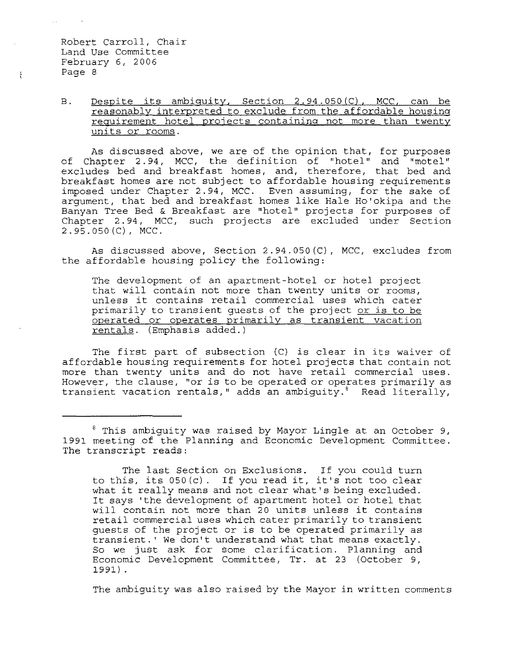## B. Despite its ambiguity, Section 2.94.050(C), MCC, can be reasonably interpreted to exclude from the affordable housino requirement hotel projects containing not more than twenty units or rooms.

As discussed above, we are of the opinion that, for purposes of Chapter 2.94, MCC, the definition of "hotel" and "motel" excludes bed and breakfast homes, and, therefore, that bed and breakfast homes are not subject to affordable housing requirements imposed under Chapter 2.94, MCC. Even assuming, for the sake of argument, that bed and breakfast homes like Hale Ho'okipa and the Banyan Tree Bed & Breakfast are "hotel" projects for purposes of Chapter 2.94, MCC, such projects are excluded under Section 2.95.050(C), MCC.

As discussed above, Section 2.94.050(C), MCC, excludes from the affordable housing policy the following:

The development of an apartment-hotel or hotel project that will contain not more than twenty units or rooms, unless it contains retail commercial uses which cater primarily to transient guests of the project or is to be operated or operates primarily as transient vacation rentals. (Emphasis added.)

The first part of subsection (C) is clear in its waiver of affordable housing requirements for hotel projects that contain not more than twenty units and do not have retail commercial uses. However, the clause, "or is to be operated or operates primarily as transient vacation rentals," adds an ambiguity. $8$  Read literally,

The last Section on Exclusions. If you could turn to this, its 050(c). If you read it, it's not too clear what it really means and not clear what's being excluded. It says 'the development of apartment hotel or hotel that will contain not more than 20 units unless it contains retail commercial uses which cater primarily to transient guests of the project or is to be operated primarily as transient.' We don't understand what that means exactly. So we just ask for some clarification. Planning and Economic Development Committee, Tr. at 23 (October 9, 1991) .

The ambiguity was also raised by the Mayor in written comments

 $\frac{t}{k}$ 

<sup>&</sup>lt;sup>8</sup> This ambiguity was raised by Mayor Lingle at an October 9, 1991 meeting of the Planning and Economic Development Committee. The transcript reads: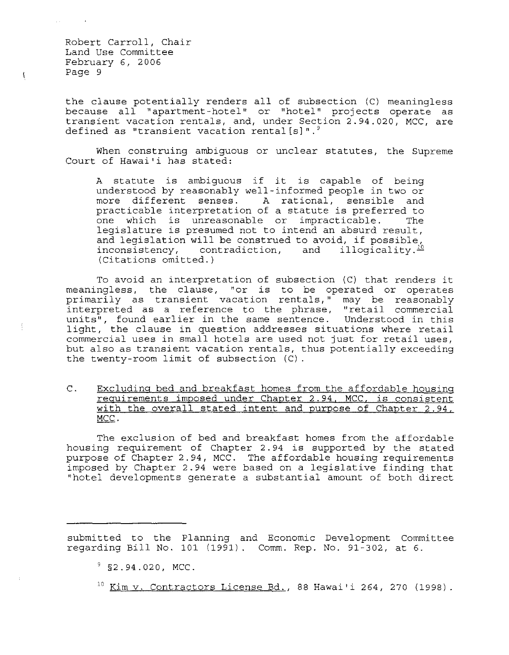$\mathfrak{t}$ 

至

the clause potentially renders all of subsection (C) meaningless because all "apartment-hotel" or "hotel" projects operate as transient vacation rentals, and, under Section 2.94.020, MCC, are defined as "transient vacation rental[s]".<sup>9</sup>

When construing ambiguous or unclear statutes, the Supreme Court of Hawai'i has stated:

A statute is ambiguous if it is capable of being understood by reasonably well-informed people in two or more different senses. A rational, sensible and practicable interpretation of a statute is preferred to<br>one which is unreasonable or impracticable. The one which is unreasonable or impracticable. legislature is presumed not to intend an absurd result, and legislation will be construed to avoid, if possible, inconsistency, contradiction, and illogicality.<sup>10</sup> (Citations omitted.)

To avoid an interpretation of subsection (C) that renders it meaningless, the clause, "or is to be operated or operates primarily as transient vacation rentals," may be reasonably primarity as standard vasarion renears, may be readonably units", found earlier in the same sentence. Understood in this light, the clause in question addresses situations where retail commercial uses in small hotels are used not just for retail uses, but also as transient vacation rentals, thus potentially exceeding the twenty-room limit of subsection (C).

C. Excluding bed and breakfast homes from the affordable housing requirements imposed under Chapter 2.94, MCC, is consistent with the overall stated intent and purpose of Chapter 2.94, MCC.

The exclusion of bed and breakfast homes from the affordable housing requirement of Chapter 2.94 is supported by the stated purpose of Chapter 2.94, MCC. The affordable housing requirements imposed by Chapter 2.94 were based on a legislative finding that "hotel developments generate a substantial amount of both direct

submitted to the Planning and Economic Development Committee regarding Bill No. 101 (1991). Comm. Rep. No. 91-302, at 6.

 $9$  §2.94.020, MCC.

 $10$  Kim v. Contractors License Bd., 88 Hawai'i 264, 270 (1998).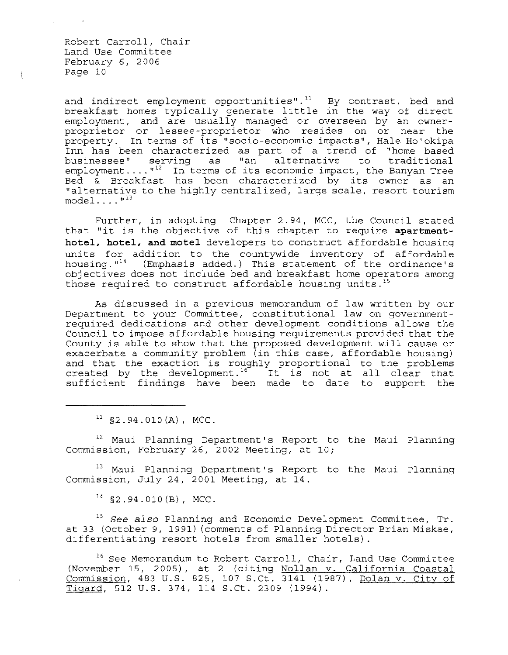$\hat{\xi}$ 

and indirect employment opportunities". $^{11}$  By contrast, bed and breakfast homes typically generate little in the way of direct employment, and are usually managed or overseen by an ownerproprietor or lessee-proprietor who resides on or near the property. In terms of its "socio-economic impacts", Hale Ho' okipa Inn has been characterized as part of a trend of "home based<br>businesses" serving as "an alternative to traditional businesses" serving as "an alternative businesses" serving as "an aiternative to traditional<br>employment...."<sup>12</sup> In terms of its economic impact, the Banyan Tree emproyment.... In terms of its economic impact, the banyan free<br>Bed & Breakfast has been characterized by its owner as an "alternative to the highly centralized, large scale, resort tourism  $model \ldots$ ...<sup> $n^{13}$ </sup>

Further, in adopting Chapter 2.94, MCC, the Council stated that "it is the objective of this chapter to require **apartmenthotel, hotel, and motel** developers to construct affordable housing units for addition to the countywide inventory of affordable housing. "<sup>14</sup> (Emphasis added.) This statement of the ordinance's objectives does not include bed and breakfast home operators among those required to construct affordable housing units.<sup>15</sup>

As discussed in a previous memorandum of law written by our Department to your Committee, constitutional law on governmentrequired dedications and other development conditions allows the Council to impose affordable housing requirements provided that the County is able to show that the proposed development will cause or exacerbate a community problem (in this case, affordable housing) and that the exaction is roughly proportional to the problems created by the development.<sup>16</sup> It is not at all clear that sufficient findings have been made to date to support the

 $11$  §2.94.010(A), MCC.

<sup>12</sup> Maui Planning Department's Report to the Maui Planning Commission, February 26, 2002 Meeting, at 10;

<sup>13</sup> Maui Planning Department's Report to the Maui Planning Commission, July 24, 2001 Meeting, at 14.

 $^{14}$  \$2.94.010 (B), MCC.

*15 See* also Planning and Economic Development Committee, Tr. at 33 (October 9, 1991) (comments of Planning Director Brian Miskae, differentiating resort hotels from smaller hotels) .

<sup>16</sup> See Memorandum to Robert Carroll, Chair, Land Use Committee (November 15, 2005), at 2 (citing Nollan v. California Coastal Commission, 483 U.S. 825, 107 S.Ct. 3141 (1987), Dolan v. City of Tigard, 512 U.S. 374, 114 S.Ct. 2309 (1994).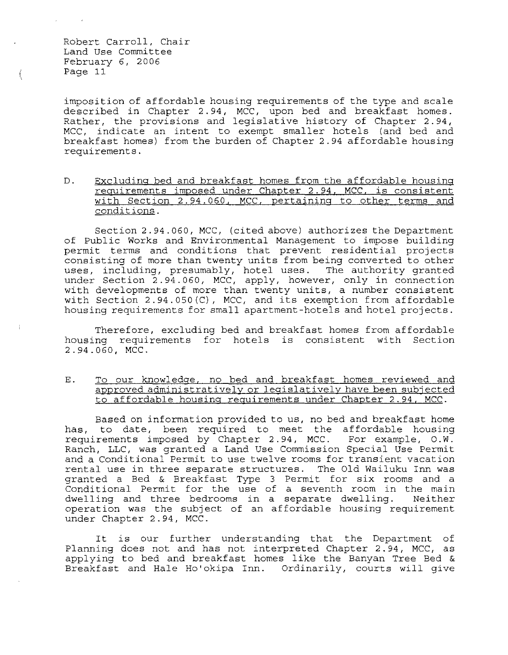imposition of affordable housing requirements of the type and scale described in Chapter 2.94, MCC, upon bed and breakfast homes. Rather, the provisions and legislative history of Chapter 2.94, MCC, indicate an intent to exempt smaller hotels (and bed and breakfast homes) from the burden of Chapter 2.94 affordable housing requirements.

D. Excluding bed and breakfast homes from the affordable housing requirements imposed under Chapter 2.94. MCC, is consistent with Section 2.94.060, MCC, pertaining to other terms and conditions.

Section 2.94.060, MCC, (cited above) authorizes the Department of Public works and Environmental Management to impose building permit terms and conditions that prevent residential projects consisting of more than twenty units from being converted to other uses, including, presumably, hotel uses. The authority granted under Section 2.94.060, MCC, apply, however, only in connection with developments of more than twenty units, a number consistent with Section 2.94.050(C), MCC, and its exemption from affordable housing requirements for small apartment-hotels and hotel projects.

Therefore, excluding bed and breakfast homes from affordable housing requirements for hotels is consistent with Section 2.94.060, MCC.

E. To our knowledge, no bed and breakfast homes reviewed and approved administratively or legislatively have been subjected to affordable housing requirements under Chapter 2.94, MCC.

Based on information provided to us, no bed and breakfast home has, to date, been required to meet the affordable housing requirements imposed by Chapter 2.94, MCC. For example, O. W. Ranch, LLC, was granted a Land Use Commission Special Use Permit and a Conditional Permit to use twelve rooms for transient vacation rental use in three separate structures. The Old Wailuku Inn was granted a Bed & Breakfast Type 3 Permit for six rooms and a Conditional Permit for the use of a seventh room in the main dwelling and three bedrooms in a separate dwelling. Neither operation was the subj ect of an affordable housing requirement under Chapter 2.94, MCC.

It is our further understanding that the Department of Planning does not and has not interpreted Chapter 2.94, MCC, as applying to bed and breakfast homes like the Banyan Tree Bed & Breakfast and Hale Ho'okipa Inn. Ordinarily, courts will give